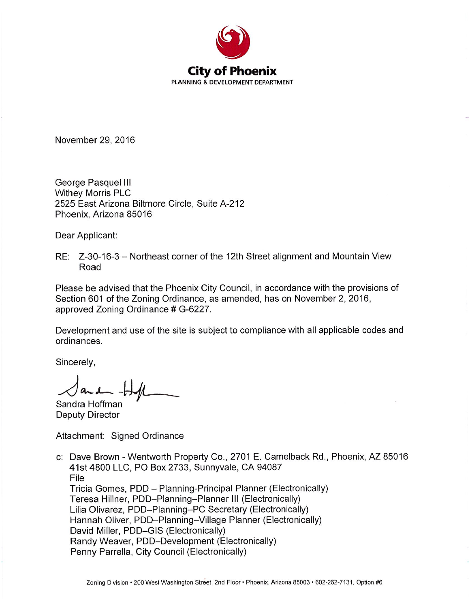

November 29, 2016

George Pasquel III **Withey Morris PLC** 2525 East Arizona Biltmore Circle, Suite A-212 Phoenix, Arizona 85016

Dear Applicant:

RE: Z-30-16-3 – Northeast corner of the 12th Street alignment and Mountain View Road

Please be advised that the Phoenix City Council, in accordance with the provisions of Section 601 of the Zoning Ordinance, as amended, has on November 2, 2016, approved Zoning Ordinance # G-6227.

Development and use of the site is subject to compliance with all applicable codes and ordinances.

Sincerely,

Sandra Hoffman

**Deputy Director** 

Attachment: Signed Ordinance

c: Dave Brown - Wentworth Property Co., 2701 E. Camelback Rd., Phoenix, AZ 85016 41st 4800 LLC, PO Box 2733, Sunnyvale, CA 94087 File Tricia Gomes, PDD - Planning-Principal Planner (Electronically) Teresa Hillner, PDD-Planning-Planner III (Electronically) Lilia Olivarez, PDD-Planning-PC Secretary (Electronically) Hannah Oliver, PDD-Planning-Village Planner (Electronically) David Miller, PDD-GIS (Electronically) Randy Weaver, PDD-Development (Electronically) Penny Parrella, City Council (Electronically)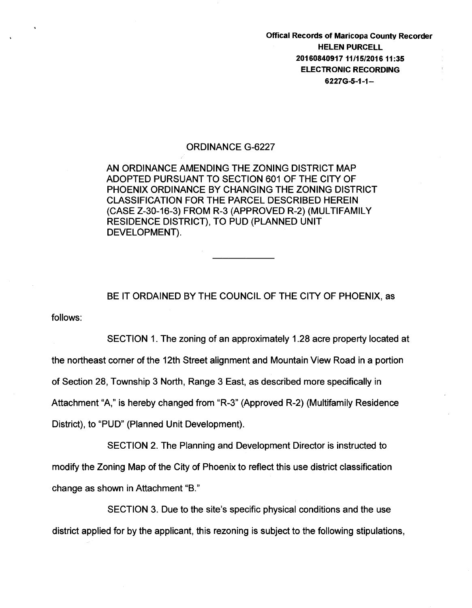Offical Records of Maricopa County Recorder HELEN PURCELL 20160840917 11/15/201611:35 ELECTRONIC RECORDING 6227G-5-1-1-

## ORDINANCE G-6227

AN ORDINANCE AMENDING THE ZONING DISTRICT MAP ADOPTED PURSUANT TO SECTION 601 OF THE CITY OF PHOENIX ORDINANCE BY CHANGING THE ZONING DISTRICT CLASSIFICATION FOR THE PARCEL DESCRIBED HEREIN (CASE Z-30-16-3) FROM R-3 (APPROVED R-2) (MULTIFAMILY RESIDENCE DISTRICT}, TO PUD (PLANNED UNIT DEVELOPMENT).

follows: BE IT ORDAINED BY THE COUNCIL OF THE CITY OF PHOENIX, as

SECTION 1. The zoning of an approximately 1.28 acre property located at the northeast corner of the 12th Street alignment and Mountain View Road in a portion of Section 28, Township 3 North, Range 3 East, as described more specifically in Attachment "A," is hereby changed from "R-3" (Approved R-2) (Multifamily Residence District), to "PUD" (Planned Unit Development).

SECTION 2. The Planning and Development Director is instructed to modify the Zoning Map of the City of Phoenix to reflect this use district classification change as shown in Attachment "B."

SECTION 3. Due to the site's specific physical conditions and the use district applied for by the applicant, this rezoning is subject to the following stipulations,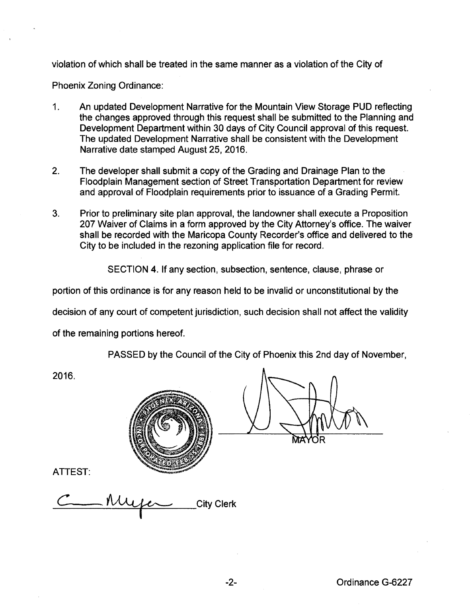violation of which shall be treated in the same manner as a violation of the City of

Phoenix Zoning Ordinance:

- 1. An updated Development Narrative for the Mountain View Storage PUD reflecting the changes approved through this request shall be submitted to the Planning and Development Department within 30 days of City Council approval of this request. The updated Development Narrative shall be consistent with the Development Narrative date stamped August 25, 2016.
- 2. The developer shall submit a copy of the Grading and Drainage Plan to the Floodplain Management section of Street Transportation Department for review and approval of Floodplain requirements prior to issuance of a Grading Permit.
- 3. Prior to preliminary site plan approval, the landowner shall execute a Proposition 207 Waiver of Claims in a form approved by the City Attorney's office. The waiver shall be recorded with the Maricopa County Recorder's office and delivered to the City to be included in the rezoning application file for record.

SECTION 4. If any section, subsection, sentence, clause, phrase or

portion of this ordinance is for any reason held to be invalid or unconstitutional by the

decision of any court of competent jurisdiction, such decision shall not affect the validity

of the remaining portions hereof.

PASSED by the Council of the City of Phoenix this 2nd day of November,

2016.



ATTEST:

City Clerk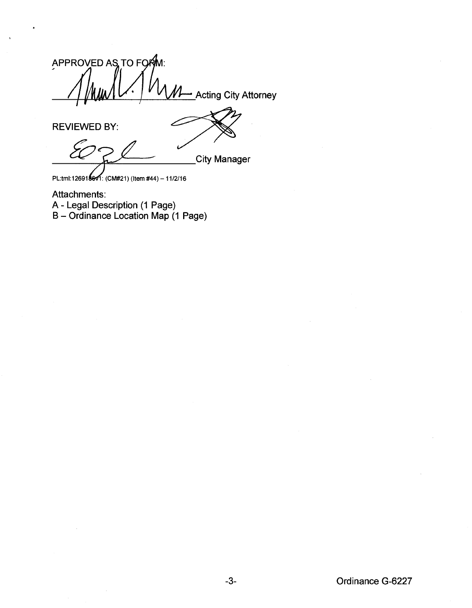APPROVED AS TO FORM: <u>•</u> Acting City Attorney

REVIEWED BY:

L City Manager

PL:tml:12691861. (CM#21) (Item #44) - 11/2/16

Attachments: A- Legal Description (1 Page) B- Ordinance Location Map (1 Page)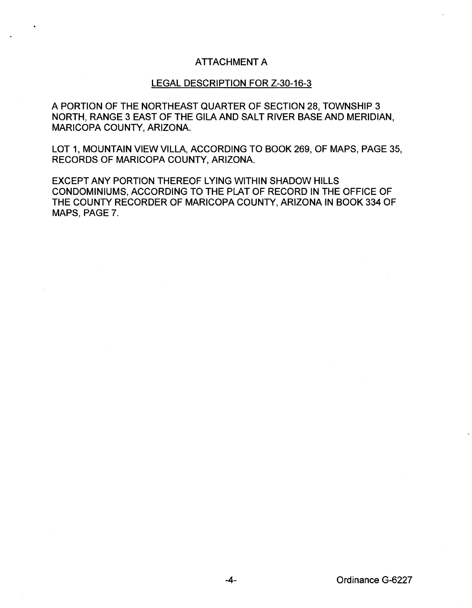## ATTACHMENT A

## LEGAL DESCRIPTION FOR Z-30-16-3

A PORTION OF THE NORTHEAST QUARTER OF SECTION 28, TOWNSHIP 3 NORTH, RANGE 3 EAST OF THE GILA AND SALT RIVER BASE AND MERIDIAN, MARICOPA COUNTY, ARIZONA.

LOT 1, MOUNTAIN VIEW VILLA, ACCORDING TO BOOK 269, OF MAPS, PAGE 35, RECORDS OF MARICOPA COUNTY, ARIZONA.

EXCEPT ANY PORTION THEREOF LYING WITHIN SHADOW HILLS CONDOMINIUMS, ACCORDING TO THE PLAT OF RECORD IN THE OFFICE OF THE COUNTY RECORDER OF MARICOPA COUNTY, ARIZONA IN BOOK 334 OF MAPS, PAGE 7.